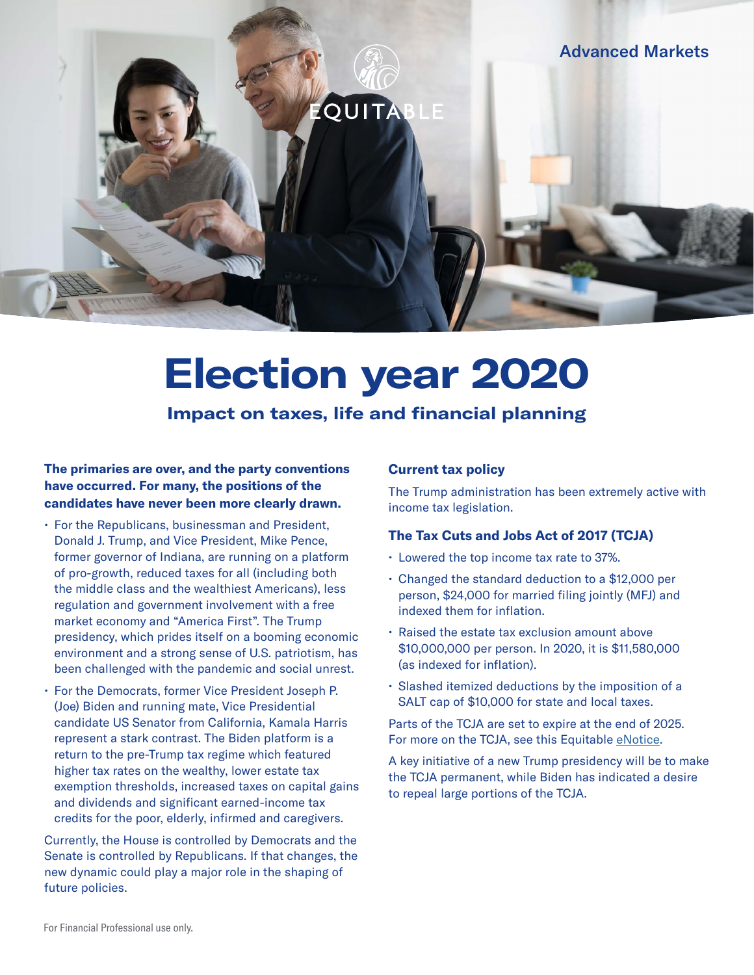

# **Election year 2020**

**Impact on taxes, life and financial planning**

### **The primaries are over, and the party conventions have occurred. For many, the positions of the candidates have never been more clearly drawn.**

- For the Republicans, businessman and President, Donald J. Trump, and Vice President, Mike Pence, former governor of Indiana, are running on a platform of pro-growth, reduced taxes for all (including both the middle class and the wealthiest Americans), less regulation and government involvement with a free market economy and "America First". The Trump presidency, which prides itself on a booming economic environment and a strong sense of U.S. patriotism, has been challenged with the pandemic and social unrest.
- For the Democrats, former Vice President Joseph P. (Joe) Biden and running mate, Vice Presidential candidate US Senator from California, Kamala Harris represent a stark contrast. The Biden platform is a return to the pre-Trump tax regime which featured higher tax rates on the wealthy, lower estate tax exemption thresholds, increased taxes on capital gains and dividends and significant earned-income tax credits for the poor, elderly, infirmed and caregivers.

Currently, the House is controlled by Democrats and the Senate is controlled by Republicans. If that changes, the new dynamic could play a major role in the shaping of future policies.

### **Current tax policy**

The Trump administration has been extremely active with income tax legislation.

### **The Tax Cuts and Jobs Act of 2017 (TCJA)**

- Lowered the top income tax rate to 37%.
- Changed the standard deduction to a \$12,000 per person, \$24,000 for married filing jointly (MFJ) and indexed them for inflation.
- Raised the estate tax exclusion amount above \$10,000,000 per person. In 2020, it is \$11,580,000 (as indexed for inflation).
- Slashed itemized deductions by the imposition of a SALT cap of \$10,000 for state and local taxes.

Parts of the TCJA are set to expire at the end of 2025. For more on the TCJA, see this Equitable [eNotice.](https://cm.equitable.com/res/prd/IU-3199426.pdf)

A key initiative of a new Trump presidency will be to make the TCJA permanent, while Biden has indicated a desire to repeal large portions of the TCJA.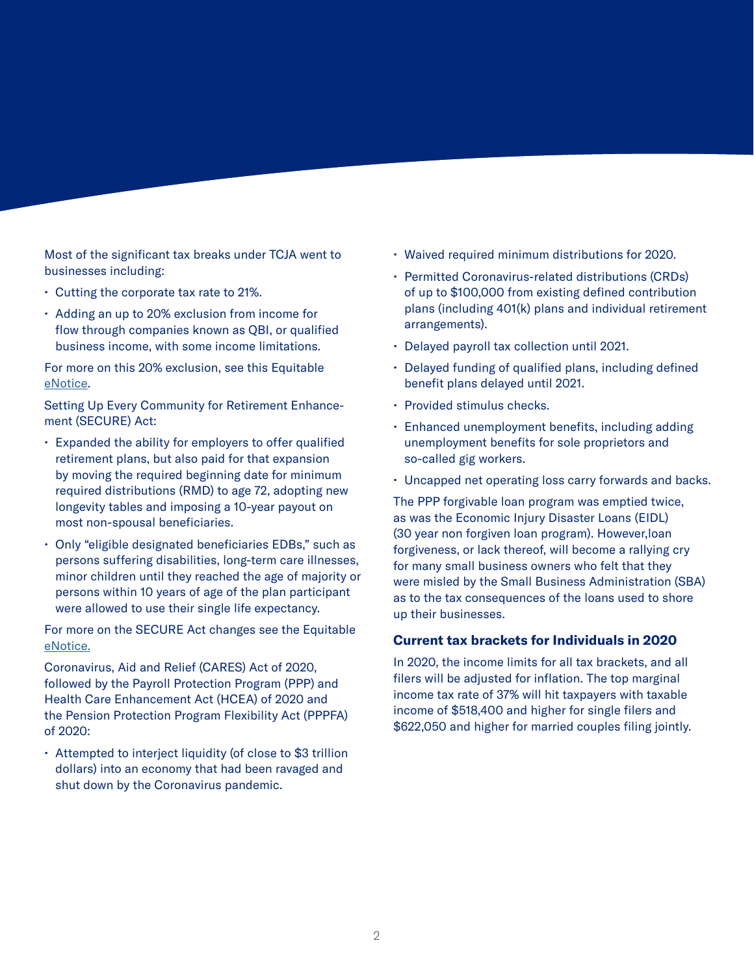Most of the significant tax breaks under TCJA went to businesses including:

- Cutting the corporate tax rate to 21%.
- Adding an up to 20% exclusion from income for flow through companies known as QBI, or qualified business income, with some income limitations.

For more on this 20% exclusion, see this Equitable [eNotice](https://cm.equitable.com/res/prd/GE-3029731.pdf).

Setting Up Every Community for Retirement Enhancement (SECURE) Act:

- Expanded the ability for employers to offer qualified retirement plans, but also paid for that expansion by moving the required beginning date for minimum required distributions (RMD) to age 72, adopting new longevity tables and imposing a 10-year payout on most non-spousal beneficiaries.
- Only "eligible designated beneficiaries EDBs," such as persons suffering disabilities, long-term care illnesses, minor children until they reached the age of majority or persons within 10 years of age of the plan participant were allowed to use their single life expectancy.

For more on the SECURE Act changes see the Equitable [eNotice](https://cm.equitable.com/res/prd/GE-3175400.pdf).

Coronavirus, Aid and Relief (CARES) Act of 2020, followed by the Payroll Protection Program (PPP) and Health Care Enhancement Act (HCEA) of 2020 and the Pension Protection Program Flexibility Act (PPPFA) of 2020:

• Attempted to interject liquidity (of close to \$3 trillion dollars) into an economy that had been ravaged and shut down by the Coronavirus pandemic.

- Waived required minimum distributions for 2020.
- Permitted Coronavirus-related distributions (CRDs) of up to \$100,000 from existing defined contribution plans (including 401(k) plans and individual retirement arrangements).
- Delayed payroll tax collection until 2021.
- Delayed funding of qualified plans, including defined benefit plans delayed until 2021.
- Provided stimulus checks.
- Enhanced unemployment benefits, including adding unemployment benefits for sole proprietors and so-called gig workers.
- Uncapped net operating loss carry forwards and backs.

The PPP forgivable loan program was emptied twice, as was the Economic Injury Disaster Loans (EIDL) (30 year non forgiven loan program). However,loan forgiveness, or lack thereof, will become a rallying cry for many small business owners who felt that they were misled by the Small Business Administration (SBA) as to the tax consequences of the loans used to shore up their businesses.

### **Current tax brackets for Individuals in 2020**

In 2020, the income limits for all tax brackets, and all filers will be adjusted for inflation. The top marginal income tax rate of 37% will hit taxpayers with taxable income of \$518,400 and higher for single filers and \$622,050 and higher for married couples filing jointly.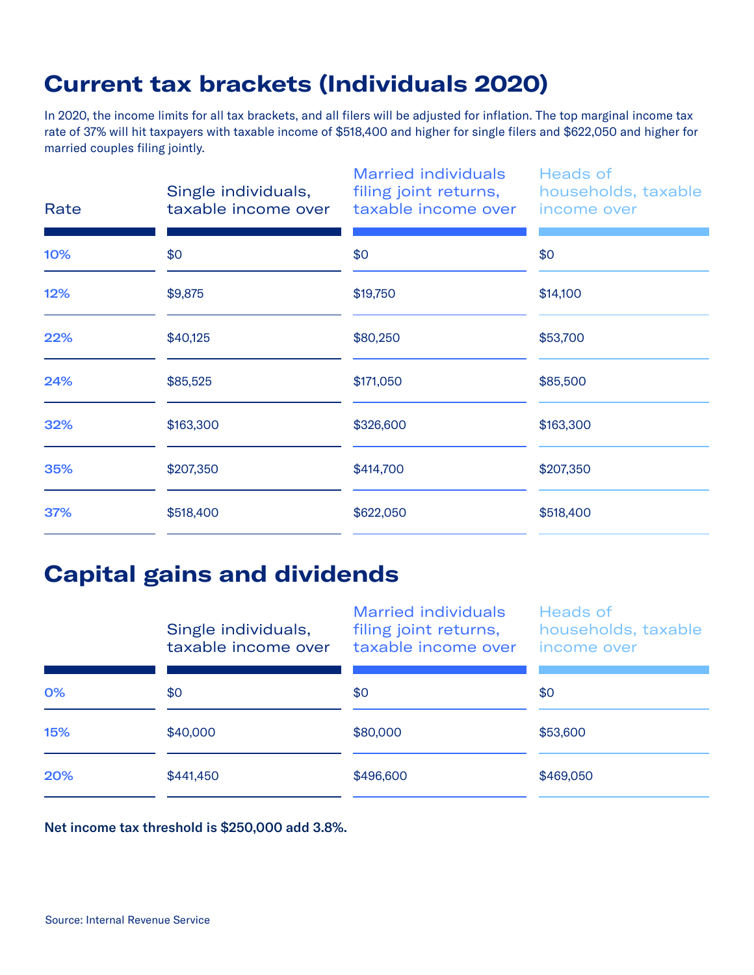## **Current tax brackets (Individuals 2020)**

In 2020, the income limits for all tax brackets, and all filers will be adjusted for inflation. The top marginal income tax rate of 37% will hit taxpayers with taxable income of \$518,400 and higher for single filers and \$622,050 and higher for married couples filing jointly.

| Rate | Single individuals,<br>taxable income over | <b>Married individuals</b><br>filing joint returns,<br>taxable income over | <b>Heads of</b><br>households, taxable<br>income over |
|------|--------------------------------------------|----------------------------------------------------------------------------|-------------------------------------------------------|
| 10%  | \$0                                        | \$0                                                                        | \$0                                                   |
| 12%  | \$9,875                                    | \$19,750                                                                   | \$14,100                                              |
| 22%  | \$40,125                                   | \$80,250                                                                   | \$53,700                                              |
| 24%  | \$85,525                                   | \$171,050                                                                  | \$85,500                                              |
| 32%  | \$163,300                                  | \$326,600                                                                  | \$163,300                                             |
| 35%  | \$207,350                                  | \$414,700                                                                  | \$207,350                                             |
| 37%  | \$518,400                                  | \$622,050                                                                  | \$518,400                                             |
|      |                                            |                                                                            |                                                       |

### **Capital gains and dividends**

|     | Single individuals,<br>taxable income over | <b>Married individuals</b><br>filing joint returns,<br>taxable income over | <b>Heads of</b><br>households, taxable<br>income over |
|-----|--------------------------------------------|----------------------------------------------------------------------------|-------------------------------------------------------|
| 0%  | \$0                                        | \$0                                                                        | \$0                                                   |
| 15% | \$40,000                                   | \$80,000                                                                   | \$53,600                                              |
| 20% | \$441,450                                  | \$496,600                                                                  | \$469,050                                             |

Net income tax threshold is \$250,000 add 3.8%.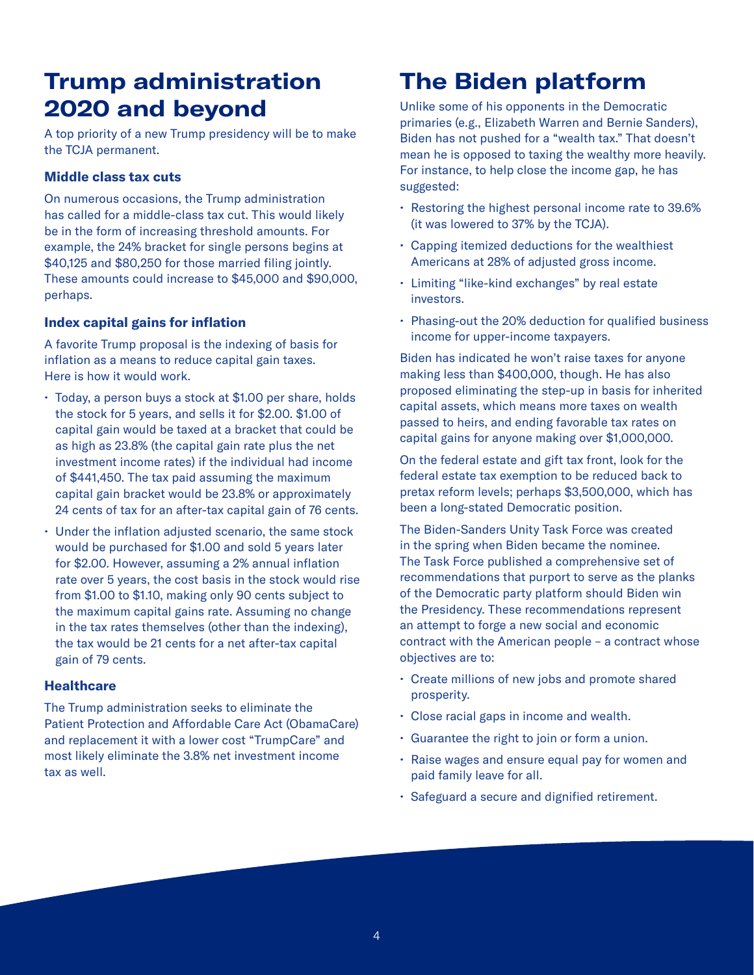## **Trump administration 2020 and beyond**

A top priority of a new Trump presidency will be to make the TCJA permanent.

### **Middle class tax cuts**

On numerous occasions, the Trump administration has called for a middle-class tax cut. This would likely be in the form of increasing threshold amounts. For example, the 24% bracket for single persons begins at \$40,125 and \$80,250 for those married filing jointly. These amounts could increase to \$45,000 and \$90,000, perhaps.

### **Index capital gains for inflation**

A favorite Trump proposal is the indexing of basis for inflation as a means to reduce capital gain taxes. Here is how it would work.

- Today, a person buys a stock at \$1.00 per share, holds the stock for 5 years, and sells it for \$2.00. \$1.00 of capital gain would be taxed at a bracket that could be as high as 23.8% (the capital gain rate plus the net investment income rates) if the individual had income of \$441,450. The tax paid assuming the maximum capital gain bracket would be 23.8% or approximately 24 cents of tax for an after-tax capital gain of 76 cents.
- Under the inflation adjusted scenario, the same stock would be purchased for \$1.00 and sold 5 years later for \$2.00. However, assuming a 2% annual inflation rate over 5 years, the cost basis in the stock would rise from \$1.00 to \$1.10, making only 90 cents subject to the maximum capital gains rate. Assuming no change in the tax rates themselves (other than the indexing), the tax would be 21 cents for a net after-tax capital gain of 79 cents.

### **Healthcare**

The Trump administration seeks to eliminate the Patient Protection and Affordable Care Act (ObamaCare) and replacement it with a lower cost "TrumpCare" and most likely eliminate the 3.8% net investment income tax as well.

## **The Biden platform**

Unlike some of his opponents in the Democratic primaries (e.g., Elizabeth Warren and Bernie Sanders), Biden has not pushed for a "wealth tax." That doesn't mean he is opposed to taxing the wealthy more heavily. For instance, to help close the income gap, he has suggested:

- Restoring the highest personal income rate to 39.6% (it was lowered to 37% by the TCJA).
- Capping itemized deductions for the wealthiest Americans at 28% of adjusted gross income.
- Limiting "like-kind exchanges" by real estate investors.
- Phasing-out the 20% deduction for qualified business income for upper-income taxpayers.

Biden has indicated he won't raise taxes for anyone making less than \$400,000, though. He has also proposed eliminating the step-up in basis for inherited capital assets, which means more taxes on wealth passed to heirs, and ending favorable tax rates on capital gains for anyone making over \$1,000,000.

On the federal estate and gift tax front, look for the federal estate tax exemption to be reduced back to pretax reform levels; perhaps \$3,500,000, which has been a long-stated Democratic position.

The Biden-Sanders Unity Task Force was created in the spring when Biden became the nominee. The Task Force published a comprehensive set of recommendations that purport to serve as the planks of the Democratic party platform should Biden win the Presidency. These recommendations represent an attempt to forge a new social and economic contract with the American people – a contract whose objectives are to:

- Create millions of new jobs and promote shared prosperity.
- Close racial gaps in income and wealth.
- Guarantee the right to join or form a union.
- Raise wages and ensure equal pay for women and paid family leave for all.
- Safeguard a secure and dignified retirement.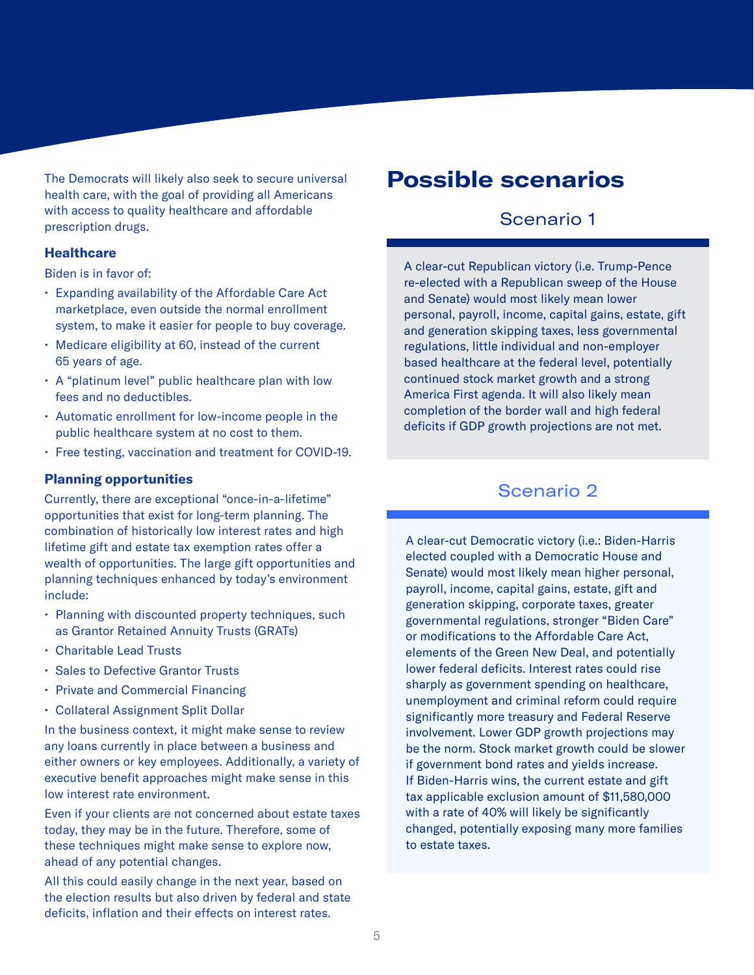The Democrats will likely also seek to secure universal health care, with the goal of providing all Americans with access to quality healthcare and affordable prescription drugs.

### **Healthcare**

Biden is in favor of:

- Expanding availability of the Affordable Care Act marketplace, even outside the normal enrollment system, to make it easier for people to buy coverage.
- Medicare eligibility at 60, instead of the current 65 years of age.
- A "platinum level" public healthcare plan with low fees and no deductibles.
- Automatic enrollment for low-income people in the public healthcare system at no cost to them.
- Free testing, vaccination and treatment for COVID-19.

### **Planning opportunities**

Currently, there are exceptional "once-in-a-lifetime" opportunities that exist for long-term planning. The combination of historically low interest rates and high lifetime gift and estate tax exemption rates offer a wealth of opportunities. The large gift opportunities and planning techniques enhanced by today's environment include:

- Planning with discounted property techniques, such as Grantor Retained Annuity Trusts (GRATs)
- Charitable Lead Trusts
- Sales to Defective Grantor Trusts
- Private and Commercial Financing
- Collateral Assignment Split Dollar

In the business context, it might make sense to review any loans currently in place between a business and either owners or key employees. Additionally, a variety of executive benefit approaches might make sense in this low interest rate environment.

Even if your clients are not concerned about estate taxes today, they may be in the future. Therefore, some of these techniques might make sense to explore now, ahead of any potential changes.

All this could easily change in the next year, based on the election results but also driven by federal and state deficits, inflation and their effects on interest rates.

### **Possible scenarios**

### Scenario 1

A clear-cut Republican victory (i.e. Trump-Pence re-elected with a Republican sweep of the House and Senate) would most likely mean lower personal, payroll, income, capital gains, estate, gift and generation skipping taxes, less governmental regulations, little individual and non-employer based healthcare at the federal level, potentially continued stock market growth and a strong America First agenda. It will also likely mean completion of the border wall and high federal deficits if GDP growth projections are not met.

### Scenario 2

A clear-cut Democratic victory (i.e.: Biden-Harris elected coupled with a Democratic House and Senate) would most likely mean higher personal, payroll, income, capital gains, estate, gift and generation skipping, corporate taxes, greater governmental regulations, stronger "Biden Care" or modifications to the Affordable Care Act, elements of the Green New Deal, and potentially lower federal deficits. Interest rates could rise sharply as government spending on healthcare, unemployment and criminal reform could require significantly more treasury and Federal Reserve involvement. Lower GDP growth projections may be the norm. Stock market growth could be slower if government bond rates and yields increase. If Biden-Harris wins, the current estate and gift tax applicable exclusion amount of \$11,580,000 with a rate of 40% will likely be significantly changed, potentially exposing many more families to estate taxes.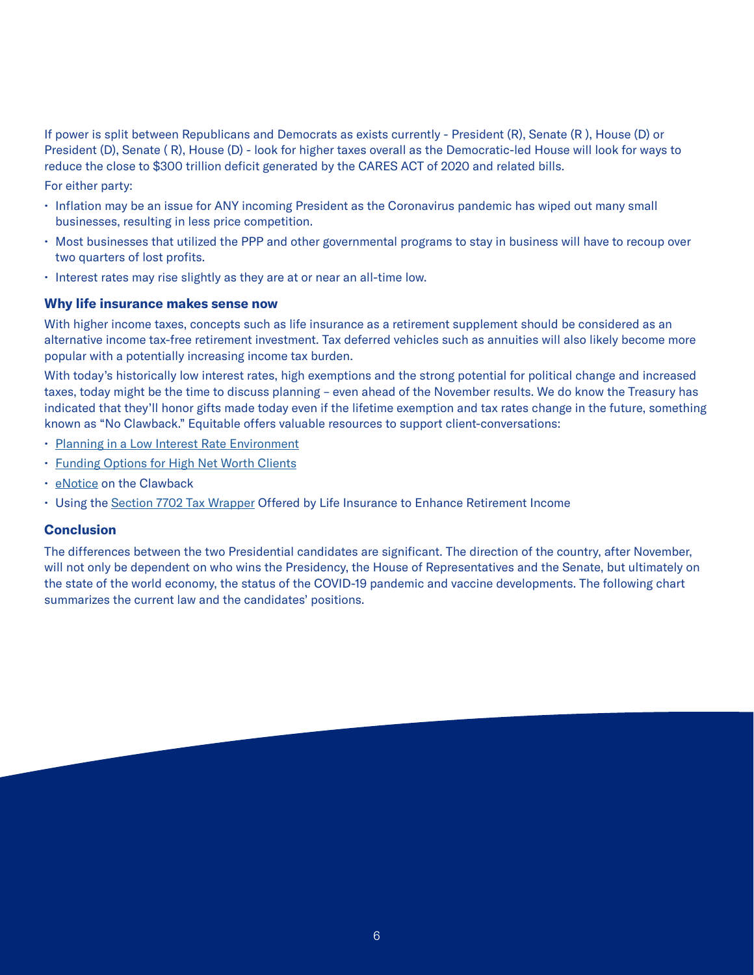If power is split between Republicans and Democrats as exists currently - President (R), Senate (R ), House (D) or President (D), Senate ( R), House (D) - look for higher taxes overall as the Democratic-led House will look for ways to reduce the close to \$300 trillion deficit generated by the CARES ACT of 2020 and related bills.

For either party:

- Inflation may be an issue for ANY incoming President as the Coronavirus pandemic has wiped out many small businesses, resulting in less price competition.
- Most businesses that utilized the PPP and other governmental programs to stay in business will have to recoup over two quarters of lost profits.
- Interest rates may rise slightly as they are at or near an all-time low.

### **Why life insurance makes sense now**

With higher income taxes, concepts such as life insurance as a retirement supplement should be considered as an alternative income tax-free retirement investment. Tax deferred vehicles such as annuities will also likely become more popular with a potentially increasing income tax burden.

With today's historically low interest rates, high exemptions and the strong potential for political change and increased taxes, today might be the time to discuss planning – even ahead of the November results. We do know the Treasury has indicated that they'll honor gifts made today even if the lifetime exemption and tax rates change in the future, something known as "No Clawback." Equitable offers valuable resources to support client-conversations:

- [Planning in a Low Interest Rate Environment](https://cm.equitable.com/res/prd/GE-2993152.pdf)
- [Funding Options for High Net Worth Clients](https://cm.equitable.com/res/prd/IU-2959787.pdf)
- [eNotice](https://cm.equitable.com/res/prd/IU-3086751.pdf) on the Clawback
- Using the [Section 7702 Tax Wrapper](https://cm.equitable.com/res/prd/GE-2996260.pdf) Offered by Life Insurance to Enhance Retirement Income

### **Conclusion**

The differences between the two Presidential candidates are significant. The direction of the country, after November, will not only be dependent on who wins the Presidency, the House of Representatives and the Senate, but ultimately on the state of the world economy, the status of the COVID-19 pandemic and vaccine developments. The following chart summarizes the current law and the candidates' positions.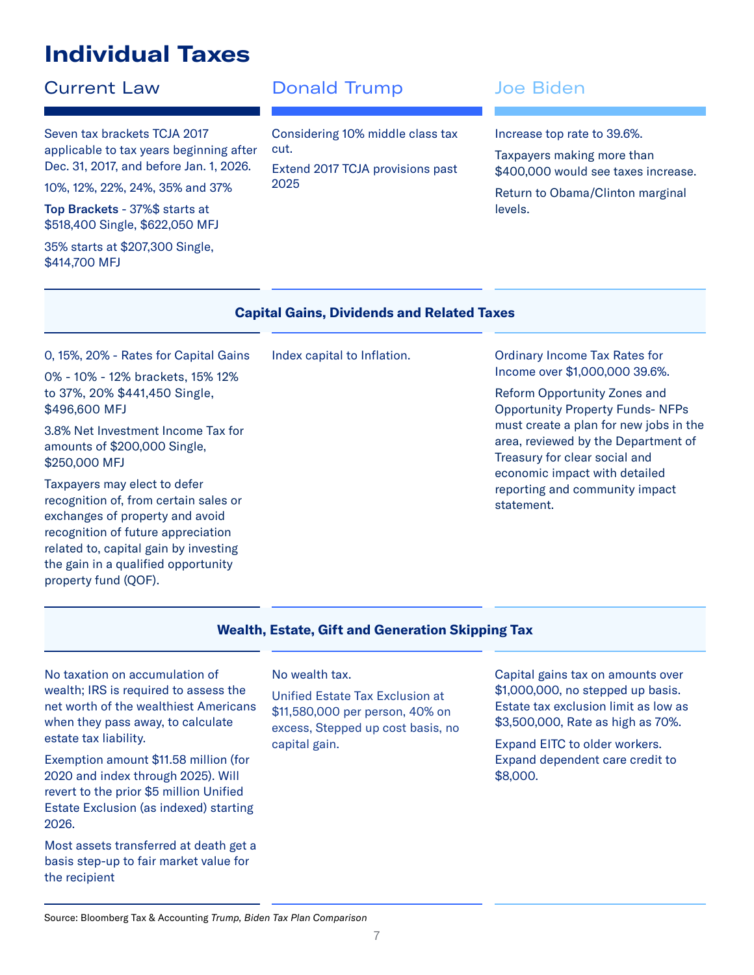## **Individual Taxes**

Seven tax brackets TCJA 2017 applicable to tax years beginning after Dec. 31, 2017, and before Jan. 1, 2026.

Top Brackets - 37%\$ starts at \$518,400 Single, \$622,050 MFJ

10%, 12%, 22%, 24%, 35% and 37%

35% starts at \$207,300 Single, \$414,700 MFJ

### **Current Law Conald Trump State Biden**

2025

Considering 10% middle class tax cut. Extend 2017 TCJA provisions past

Increase top rate to 39.6%.

Taxpayers making more than \$400,000 would see taxes increase.

Return to Obama/Clinton marginal levels.

|                                                                                                                                                                                                                                                        | <b>Capital Gains, Dividends and Related Taxes</b> |                                                                                                                                                                                                 |
|--------------------------------------------------------------------------------------------------------------------------------------------------------------------------------------------------------------------------------------------------------|---------------------------------------------------|-------------------------------------------------------------------------------------------------------------------------------------------------------------------------------------------------|
| 0, 15%, 20% - Rates for Capital Gains<br>0% - 10% - 12% brackets, 15% 12%                                                                                                                                                                              | Index capital to Inflation.                       | <b>Ordinary Income Tax Rates for</b><br>Income over \$1,000,000 39.6%.                                                                                                                          |
| to 37%, 20% \$441,450 Single,<br>\$496,600 MFJ                                                                                                                                                                                                         |                                                   | Reform Opportunity Zones and<br><b>Opportunity Property Funds- NFPs</b>                                                                                                                         |
| 3.8% Net Investment Income Tax for<br>amounts of \$200,000 Single,<br>\$250,000 MFJ                                                                                                                                                                    |                                                   | must create a plan for new jobs in the<br>area, reviewed by the Department of<br>Treasury for clear social and<br>economic impact with detailed<br>reporting and community impact<br>statement. |
| Taxpayers may elect to defer<br>recognition of, from certain sales or<br>exchanges of property and avoid<br>recognition of future appreciation<br>related to, capital gain by investing<br>the gain in a qualified opportunity<br>property fund (QOF). |                                                   |                                                                                                                                                                                                 |

### **Wealth, Estate, Gift and Generation Skipping Tax**

No taxation on accumulation of wealth; IRS is required to assess the net worth of the wealthiest Americans when they pass away, to calculate estate tax liability.

Exemption amount \$11.58 million (for 2020 and index through 2025). Will revert to the prior \$5 million Unified Estate Exclusion (as indexed) starting 2026.

Most assets transferred at death get a basis step-up to fair market value for the recipient

### No wealth tax.

Unified Estate Tax Exclusion at \$11,580,000 per person, 40% on excess, Stepped up cost basis, no capital gain.

Capital gains tax on amounts over \$1,000,000, no stepped up basis. Estate tax exclusion limit as low as \$3,500,000, Rate as high as 70%.

Expand EITC to older workers. Expand dependent care credit to \$8,000.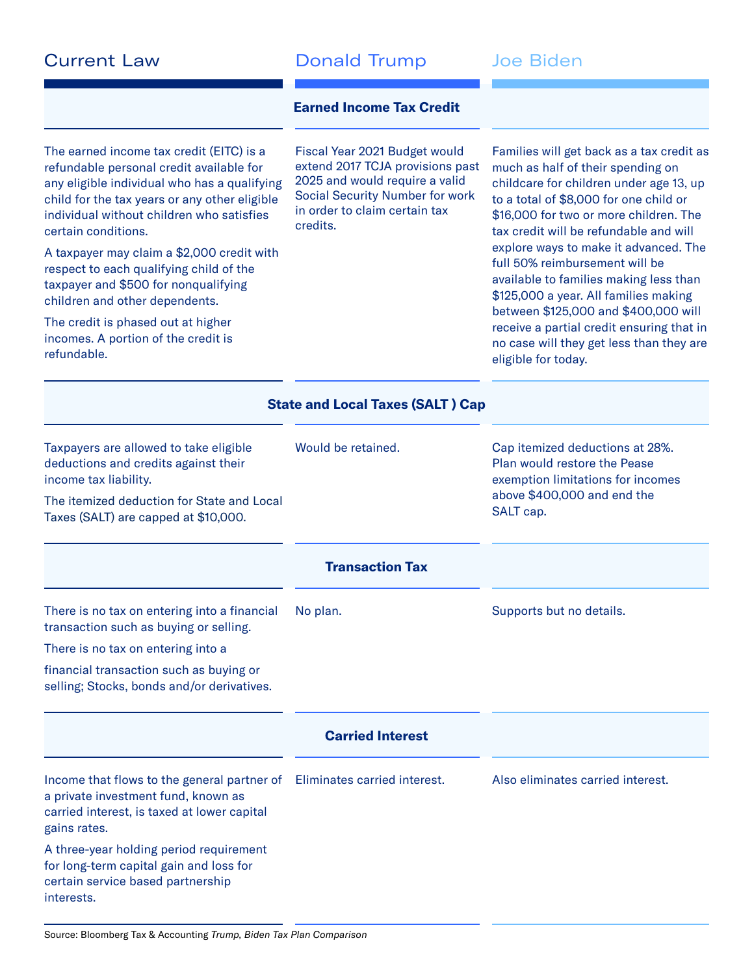**Current Law Conald Trump** Joe Biden

### **Earned Income Tax Credit**

The earned income tax credit (EITC) is a refundable personal credit available for any eligible individual who has a qualifying child for the tax years or any other eligible individual without children who satisfies certain conditions.

A taxpayer may claim a \$2,000 credit with respect to each qualifying child of the taxpayer and \$500 for nonqualifying children and other dependents.

The credit is phased out at higher incomes. A portion of the credit is refundable.

Fiscal Year 2021 Budget would extend 2017 TCJA provisions past 2025 and would require a valid Social Security Number for work in order to claim certain tax credits.

Families will get back as a tax credit as much as half of their spending on childcare for children under age 13, up to a total of \$8,000 for one child or \$16,000 for two or more children. The tax credit will be refundable and will explore ways to make it advanced. The full 50% reimbursement will be available to families making less than \$125,000 a year. All families making between \$125,000 and \$400,000 will receive a partial credit ensuring that in no case will they get less than they are eligible for today.

|                                                                                                                                                       | <b>State and Local Taxes (SALT) Cap</b> |                                                                                                                                     |
|-------------------------------------------------------------------------------------------------------------------------------------------------------|-----------------------------------------|-------------------------------------------------------------------------------------------------------------------------------------|
| Taxpayers are allowed to take eligible<br>deductions and credits against their<br>income tax liability.<br>The itemized deduction for State and Local | Would be retained.                      | Cap itemized deductions at 28%.<br>Plan would restore the Pease<br>exemption limitations for incomes<br>above \$400,000 and end the |
| Taxes (SALT) are capped at \$10,000.                                                                                                                  |                                         | SALT cap.                                                                                                                           |
|                                                                                                                                                       | <b>Transaction Tax</b>                  |                                                                                                                                     |
| There is no tax on entering into a financial<br>transaction such as buying or selling.                                                                | No plan.                                | Supports but no details.                                                                                                            |
| There is no tax on entering into a                                                                                                                    |                                         |                                                                                                                                     |
| financial transaction such as buying or<br>selling; Stocks, bonds and/or derivatives.                                                                 |                                         |                                                                                                                                     |
|                                                                                                                                                       | <b>Carried Interest</b>                 |                                                                                                                                     |
| Income that flows to the general partner of<br>a private investment fund, known as<br>carried interest, is taxed at lower capital<br>gains rates.     | Eliminates carried interest.            | Also eliminates carried interest.                                                                                                   |
| A three-year holding period requirement<br>for long-term capital gain and loss for<br>certain service based partnership<br>interests.                 |                                         |                                                                                                                                     |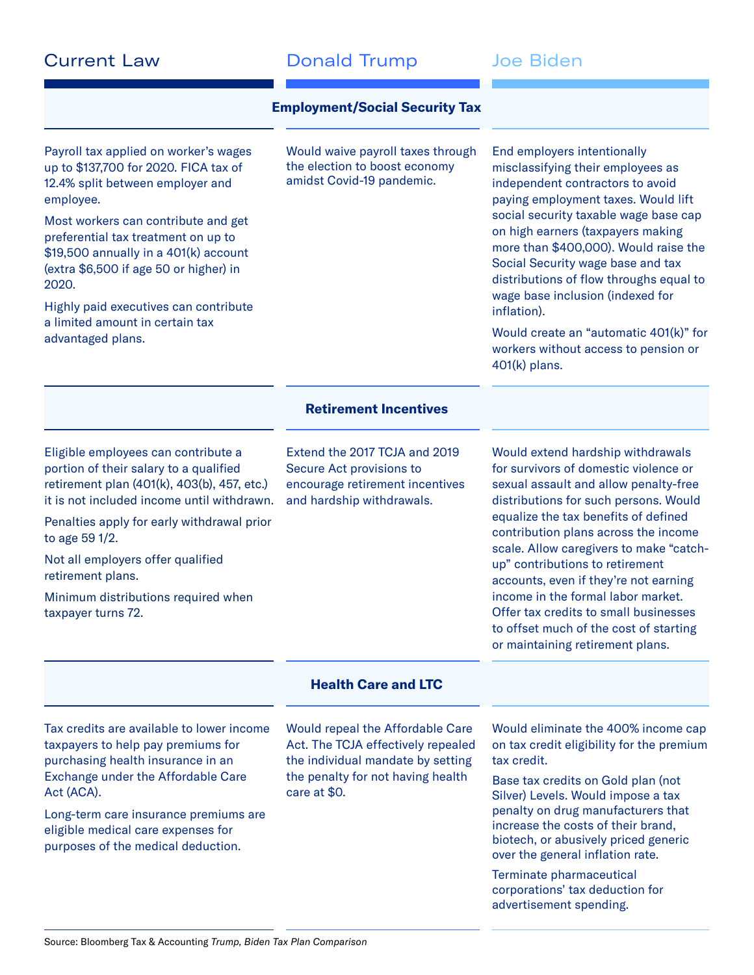| <b>Current Law</b> |  |
|--------------------|--|
|--------------------|--|

### Donald Trump Joe Biden

### **Employment/Social Security Tax**

Payroll tax applied on worker's wages up to \$137,700 for 2020. FICA tax of 12.4% split between employer and employee.

Most workers can contribute and get preferential tax treatment on up to \$19,500 annually in a 401(k) account (extra \$6,500 if age 50 or higher) in 2020.

Highly paid executives can contribute a limited amount in certain tax advantaged plans.

Would waive payroll taxes through the election to boost economy amidst Covid-19 pandemic.

End employers intentionally misclassifying their employees as independent contractors to avoid paying employment taxes. Would lift social security taxable wage base cap on high earners (taxpayers making more than \$400,000). Would raise the Social Security wage base and tax distributions of flow throughs equal to wage base inclusion (indexed for inflation).

Would create an "automatic 401(k)" for workers without access to pension or 401(k) plans.

### **Retirement Incentives**

Eligible employees can contribute a portion of their salary to a qualified retirement plan (401(k), 403(b), 457, etc.) it is not included income until withdrawn.

Penalties apply for early withdrawal prior to age 59 1/2.

Not all employers offer qualified retirement plans.

Minimum distributions required when taxpayer turns 72.

Extend the 2017 TCJA and 2019 Secure Act provisions to encourage retirement incentives and hardship withdrawals.

Would extend hardship withdrawals for survivors of domestic violence or sexual assault and allow penalty-free distributions for such persons. Would equalize the tax benefits of defined contribution plans across the income scale. Allow caregivers to make "catchup" contributions to retirement accounts, even if they're not earning income in the formal labor market. Offer tax credits to small businesses to offset much of the cost of starting or maintaining retirement plans.

### **Health Care and LTC**

Tax credits are available to lower income taxpayers to help pay premiums for purchasing health insurance in an Exchange under the Affordable Care Act (ACA).

Long-term care insurance premiums are eligible medical care expenses for purposes of the medical deduction.

Would repeal the Affordable Care Act. The TCJA effectively repealed the individual mandate by setting the penalty for not having health care at \$0.

Would eliminate the 400% income cap on tax credit eligibility for the premium tax credit.

Base tax credits on Gold plan (not Silver) Levels. Would impose a tax penalty on drug manufacturers that increase the costs of their brand, biotech, or abusively priced generic over the general inflation rate.

Terminate pharmaceutical corporations' tax deduction for advertisement spending.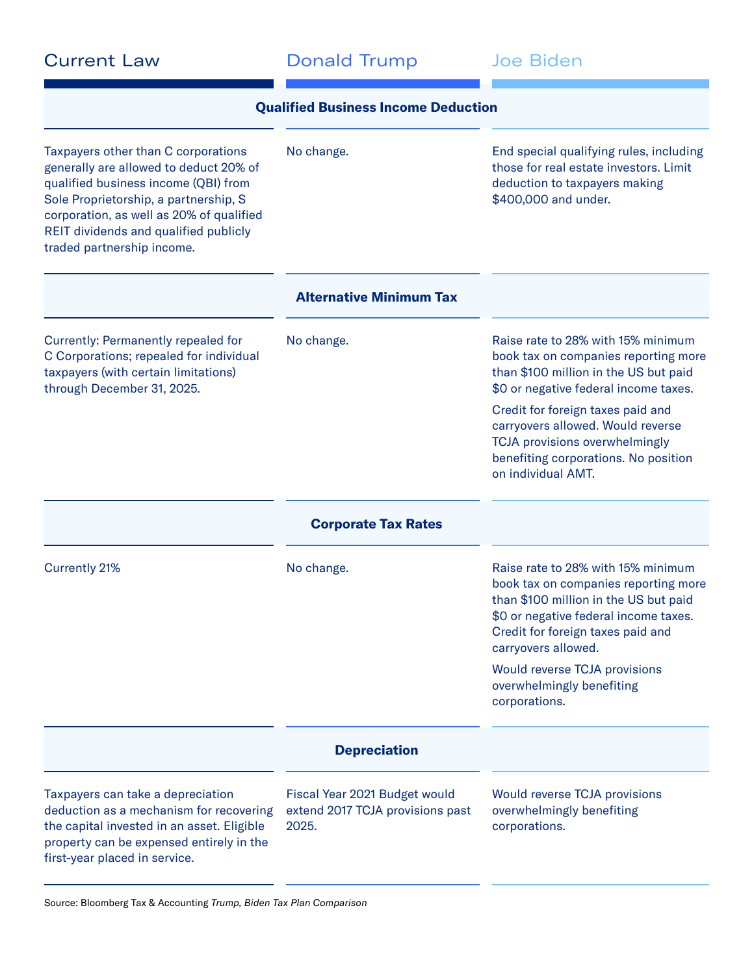| <b>Current Law</b> |  |
|--------------------|--|
|--------------------|--|

Donald Trump Joe Biden

| Taxpayers other than C corporations<br>generally are allowed to deduct 20% of<br>qualified business income (QBI) from<br>Sole Proprietorship, a partnership, S<br>corporation, as well as 20% of qualified<br>REIT dividends and qualified publicly<br>traded partnership income. | No change.                                                                 | End special qualifying rules, including<br>those for real estate investors. Limit<br>deduction to taxpayers making<br>\$400,000 and under.                                                                                                                                                                                                    |
|-----------------------------------------------------------------------------------------------------------------------------------------------------------------------------------------------------------------------------------------------------------------------------------|----------------------------------------------------------------------------|-----------------------------------------------------------------------------------------------------------------------------------------------------------------------------------------------------------------------------------------------------------------------------------------------------------------------------------------------|
|                                                                                                                                                                                                                                                                                   | <b>Alternative Minimum Tax</b>                                             |                                                                                                                                                                                                                                                                                                                                               |
| Currently: Permanently repealed for<br>C Corporations; repealed for individual<br>taxpayers (with certain limitations)<br>through December 31, 2025.                                                                                                                              | No change.                                                                 | Raise rate to 28% with 15% minimum<br>book tax on companies reporting more<br>than \$100 million in the US but paid<br>\$0 or negative federal income taxes.<br>Credit for foreign taxes paid and<br>carryovers allowed. Would reverse<br><b>TCJA</b> provisions overwhelmingly<br>benefiting corporations. No position<br>on individual AMT. |
|                                                                                                                                                                                                                                                                                   | <b>Corporate Tax Rates</b>                                                 |                                                                                                                                                                                                                                                                                                                                               |
| <b>Currently 21%</b>                                                                                                                                                                                                                                                              | No change.                                                                 | Raise rate to 28% with 15% minimum<br>book tax on companies reporting more<br>than \$100 million in the US but paid<br>\$0 or negative federal income taxes.<br>Credit for foreign taxes paid and<br>carryovers allowed.                                                                                                                      |
|                                                                                                                                                                                                                                                                                   |                                                                            | <b>Would reverse TCJA provisions</b><br>overwhelmingly benefiting<br>corporations.                                                                                                                                                                                                                                                            |
|                                                                                                                                                                                                                                                                                   | <b>Depreciation</b>                                                        |                                                                                                                                                                                                                                                                                                                                               |
| Taxpayers can take a depreciation<br>deduction as a mechanism for recovering<br>the capital invested in an asset. Eligible<br>property can be expensed entirely in the<br>first-year placed in service.                                                                           | Fiscal Year 2021 Budget would<br>extend 2017 TCJA provisions past<br>2025. | <b>Would reverse TCJA provisions</b><br>overwhelmingly benefiting<br>corporations.                                                                                                                                                                                                                                                            |